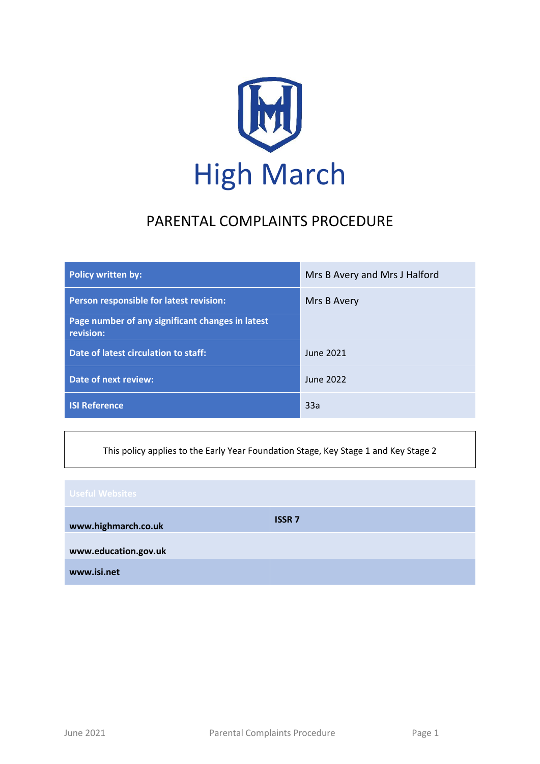

# PARENTAL COMPLAINTS PROCEDURE

| <b>Policy written by:</b>                                     | Mrs B Avery and Mrs J Halford |
|---------------------------------------------------------------|-------------------------------|
| Person responsible for latest revision:                       | Mrs B Avery                   |
| Page number of any significant changes in latest<br>revision: |                               |
| Date of latest circulation to staff:                          | June 2021                     |
| <b>Date of next review:</b>                                   | June 2022                     |
| <b>ISI Reference</b>                                          | 33a                           |

This policy applies to the Early Year Foundation Stage, Key Stage 1 and Key Stage 2

| <b>Useful Websites</b> |              |  |
|------------------------|--------------|--|
| www.highmarch.co.uk    | <b>ISSR7</b> |  |
| www.education.gov.uk   |              |  |
| www.isi.net            |              |  |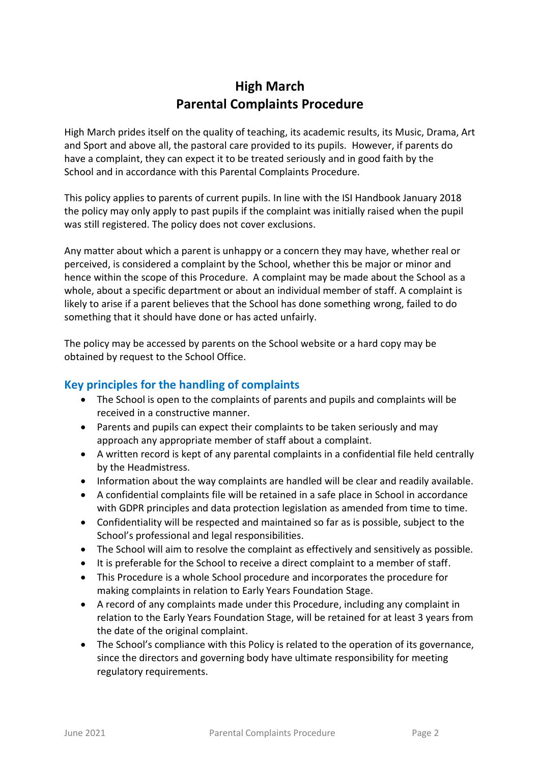# **High March Parental Complaints Procedure**

High March prides itself on the quality of teaching, its academic results, its Music, Drama, Art and Sport and above all, the pastoral care provided to its pupils. However, if parents do have a complaint, they can expect it to be treated seriously and in good faith by the School and in accordance with this Parental Complaints Procedure.

This policy applies to parents of current pupils. In line with the ISI Handbook January 2018 the policy may only apply to past pupils if the complaint was initially raised when the pupil was still registered. The policy does not cover exclusions.

Any matter about which a parent is unhappy or a concern they may have, whether real or perceived, is considered a complaint by the School, whether this be major or minor and hence within the scope of this Procedure. A complaint may be made about the School as a whole, about a specific department or about an individual member of staff. A complaint is likely to arise if a parent believes that the School has done something wrong, failed to do something that it should have done or has acted unfairly.

The policy may be accessed by parents on the School website or a hard copy may be obtained by request to the School Office.

## **Key principles for the handling of complaints**

- The School is open to the complaints of parents and pupils and complaints will be received in a constructive manner.
- Parents and pupils can expect their complaints to be taken seriously and may approach any appropriate member of staff about a complaint.
- A written record is kept of any parental complaints in a confidential file held centrally by the Headmistress.
- Information about the way complaints are handled will be clear and readily available.
- A confidential complaints file will be retained in a safe place in School in accordance with GDPR principles and data protection legislation as amended from time to time.
- Confidentiality will be respected and maintained so far as is possible, subject to the School's professional and legal responsibilities.
- The School will aim to resolve the complaint as effectively and sensitively as possible.
- It is preferable for the School to receive a direct complaint to a member of staff.
- This Procedure is a whole School procedure and incorporates the procedure for making complaints in relation to Early Years Foundation Stage.
- A record of any complaints made under this Procedure, including any complaint in relation to the Early Years Foundation Stage, will be retained for at least 3 years from the date of the original complaint.
- The School's compliance with this Policy is related to the operation of its governance, since the directors and governing body have ultimate responsibility for meeting regulatory requirements.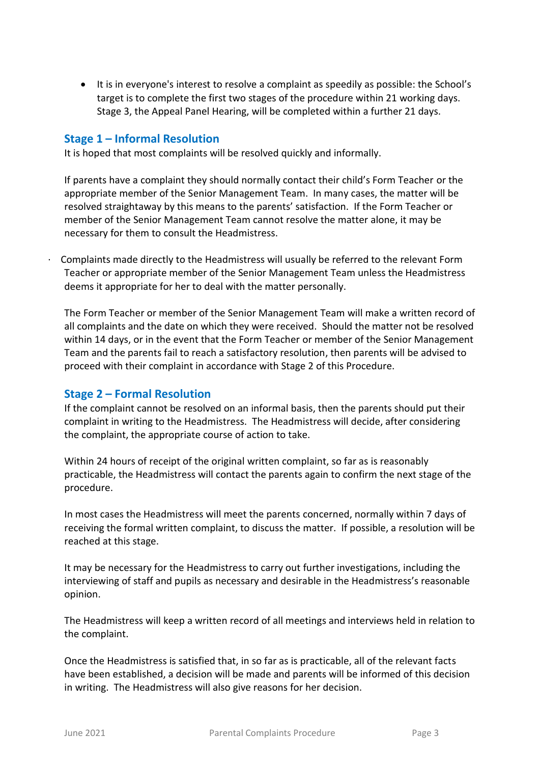• It is in everyone's interest to resolve a complaint as speedily as possible: the School's target is to complete the first two stages of the procedure within 21 working days. Stage 3, the Appeal Panel Hearing, will be completed within a further 21 days.

#### **Stage 1 – Informal Resolution**

It is hoped that most complaints will be resolved quickly and informally.

If parents have a complaint they should normally contact their child's Form Teacher or the appropriate member of the Senior Management Team. In many cases, the matter will be resolved straightaway by this means to the parents' satisfaction. If the Form Teacher or member of the Senior Management Team cannot resolve the matter alone, it may be necessary for them to consult the Headmistress.

· Complaints made directly to the Headmistress will usually be referred to the relevant Form Teacher or appropriate member of the Senior Management Team unless the Headmistress deems it appropriate for her to deal with the matter personally.

The Form Teacher or member of the Senior Management Team will make a written record of all complaints and the date on which they were received. Should the matter not be resolved within 14 days, or in the event that the Form Teacher or member of the Senior Management Team and the parents fail to reach a satisfactory resolution, then parents will be advised to proceed with their complaint in accordance with Stage 2 of this Procedure.

#### **Stage 2 – Formal Resolution**

If the complaint cannot be resolved on an informal basis, then the parents should put their complaint in writing to the Headmistress. The Headmistress will decide, after considering the complaint, the appropriate course of action to take.

Within 24 hours of receipt of the original written complaint, so far as is reasonably practicable, the Headmistress will contact the parents again to confirm the next stage of the procedure.

In most cases the Headmistress will meet the parents concerned, normally within 7 days of receiving the formal written complaint, to discuss the matter. If possible, a resolution will be reached at this stage.

It may be necessary for the Headmistress to carry out further investigations, including the interviewing of staff and pupils as necessary and desirable in the Headmistress's reasonable opinion.

The Headmistress will keep a written record of all meetings and interviews held in relation to the complaint.

Once the Headmistress is satisfied that, in so far as is practicable, all of the relevant facts have been established, a decision will be made and parents will be informed of this decision in writing. The Headmistress will also give reasons for her decision.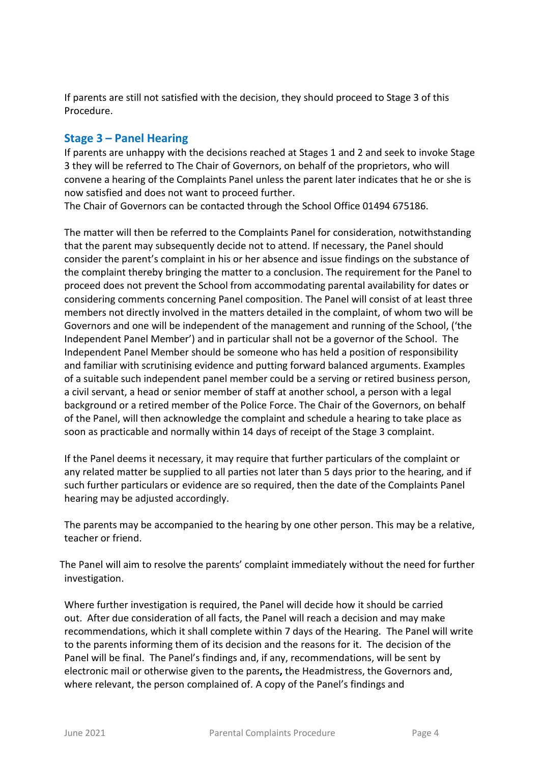If parents are still not satisfied with the decision, they should proceed to Stage 3 of this Procedure.

### **Stage 3 – Panel Hearing**

If parents are unhappy with the decisions reached at Stages 1 and 2 and seek to invoke Stage 3 they will be referred to The Chair of Governors, on behalf of the proprietors, who will convene a hearing of the Complaints Panel unless the parent later indicates that he or she is now satisfied and does not want to proceed further.

The Chair of Governors can be contacted through the School Office 01494 675186.

The matter will then be referred to the Complaints Panel for consideration, notwithstanding that the parent may subsequently decide not to attend. If necessary, the Panel should consider the parent's complaint in his or her absence and issue findings on the substance of the complaint thereby bringing the matter to a conclusion. The requirement for the Panel to proceed does not prevent the School from accommodating parental availability for dates or considering comments concerning Panel composition. The Panel will consist of at least three members not directly involved in the matters detailed in the complaint, of whom two will be Governors and one will be independent of the management and running of the School, ('the Independent Panel Member') and in particular shall not be a governor of the School. The Independent Panel Member should be someone who has held a position of responsibility and familiar with scrutinising evidence and putting forward balanced arguments. Examples of a suitable such independent panel member could be a serving or retired business person, a civil servant, a head or senior member of staff at another school, a person with a legal background or a retired member of the Police Force. The Chair of the Governors, on behalf of the Panel, will then acknowledge the complaint and schedule a hearing to take place as soon as practicable and normally within 14 days of receipt of the Stage 3 complaint.

If the Panel deems it necessary, it may require that further particulars of the complaint or any related matter be supplied to all parties not later than 5 days prior to the hearing, and if such further particulars or evidence are so required, then the date of the Complaints Panel hearing may be adjusted accordingly.

The parents may be accompanied to the hearing by one other person. This may be a relative, teacher or friend.

 The Panel will aim to resolve the parents' complaint immediately without the need for further investigation.

Where further investigation is required, the Panel will decide how it should be carried out. After due consideration of all facts, the Panel will reach a decision and may make recommendations, which it shall complete within 7 days of the Hearing. The Panel will write to the parents informing them of its decision and the reasons for it. The decision of the Panel will be final. The Panel's findings and, if any, recommendations, will be sent by electronic mail or otherwise given to the parents**,** the Headmistress, the Governors and, where relevant, the person complained of. A copy of the Panel's findings and